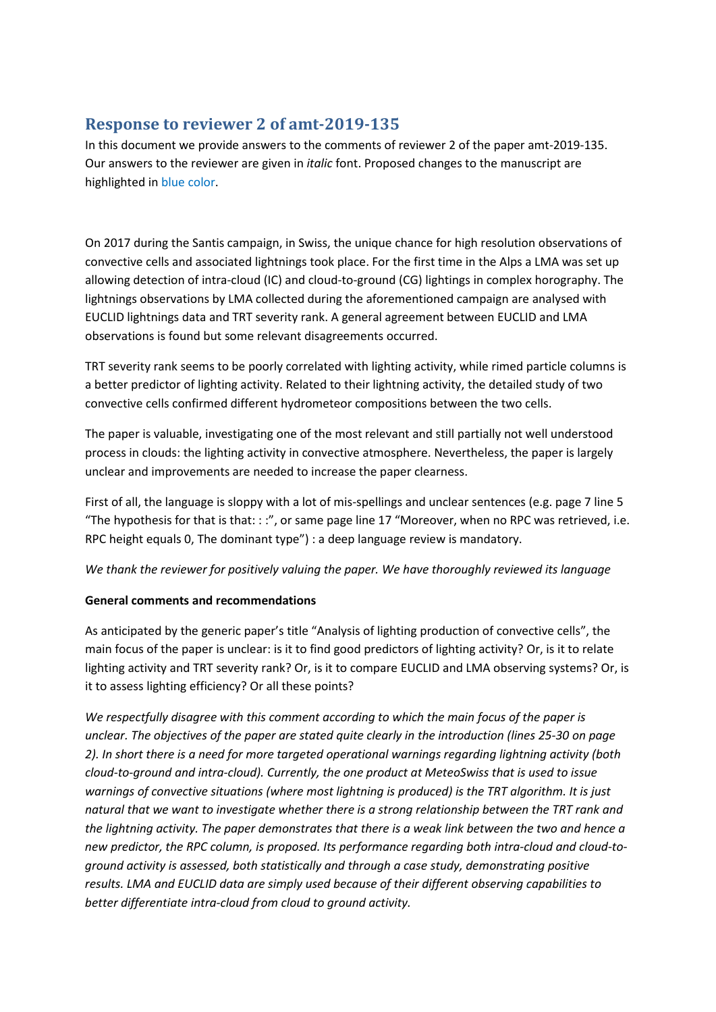# **Response to reviewer 2 of amt-2019-135**

In this document we provide answers to the comments of reviewer 2 of the paper amt-2019-135. Our answers to the reviewer are given in *italic* font. Proposed changes to the manuscript are highlighted in blue color.

On 2017 during the Santis campaign, in Swiss, the unique chance for high resolution observations of convective cells and associated lightnings took place. For the first time in the Alps a LMA was set up allowing detection of intra-cloud (IC) and cloud-to-ground (CG) lightings in complex horography. The lightnings observations by LMA collected during the aforementioned campaign are analysed with EUCLID lightnings data and TRT severity rank. A general agreement between EUCLID and LMA observations is found but some relevant disagreements occurred.

TRT severity rank seems to be poorly correlated with lighting activity, while rimed particle columns is a better predictor of lighting activity. Related to their lightning activity, the detailed study of two convective cells confirmed different hydrometeor compositions between the two cells.

The paper is valuable, investigating one of the most relevant and still partially not well understood process in clouds: the lighting activity in convective atmosphere. Nevertheless, the paper is largely unclear and improvements are needed to increase the paper clearness.

First of all, the language is sloppy with a lot of mis-spellings and unclear sentences (e.g. page 7 line 5 "The hypothesis for that is that: : :", or same page line 17 "Moreover, when no RPC was retrieved, i.e. RPC height equals 0, The dominant type") : a deep language review is mandatory.

*We thank the reviewer for positively valuing the paper. We have thoroughly reviewed its language*

## **General comments and recommendations**

As anticipated by the generic paper's title "Analysis of lighting production of convective cells", the main focus of the paper is unclear: is it to find good predictors of lighting activity? Or, is it to relate lighting activity and TRT severity rank? Or, is it to compare EUCLID and LMA observing systems? Or, is it to assess lighting efficiency? Or all these points?

*We respectfully disagree with this comment according to which the main focus of the paper is unclear. The objectives of the paper are stated quite clearly in the introduction (lines 25-30 on page 2). In short there is a need for more targeted operational warnings regarding lightning activity (both cloud-to-ground and intra-cloud). Currently, the one product at MeteoSwiss that is used to issue warnings of convective situations (where most lightning is produced) is the TRT algorithm. It is just natural that we want to investigate whether there is a strong relationship between the TRT rank and the lightning activity. The paper demonstrates that there is a weak link between the two and hence a new predictor, the RPC column, is proposed. Its performance regarding both intra-cloud and cloud-toground activity is assessed, both statistically and through a case study, demonstrating positive results. LMA and EUCLID data are simply used because of their different observing capabilities to better differentiate intra-cloud from cloud to ground activity.*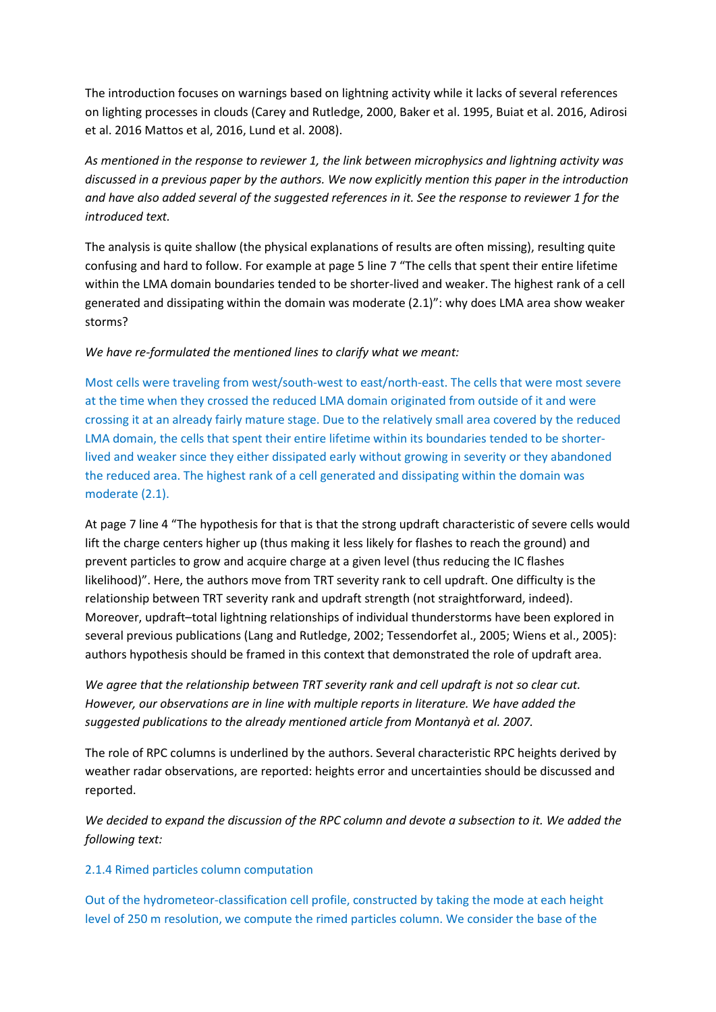The introduction focuses on warnings based on lightning activity while it lacks of several references on lighting processes in clouds (Carey and Rutledge, 2000, Baker et al. 1995, Buiat et al. 2016, Adirosi et al. 2016 Mattos et al, 2016, Lund et al. 2008).

*As mentioned in the response to reviewer 1, the link between microphysics and lightning activity was discussed in a previous paper by the authors. We now explicitly mention this paper in the introduction and have also added several of the suggested references in it. See the response to reviewer 1 for the introduced text.*

The analysis is quite shallow (the physical explanations of results are often missing), resulting quite confusing and hard to follow. For example at page 5 line 7 "The cells that spent their entire lifetime within the LMA domain boundaries tended to be shorter-lived and weaker. The highest rank of a cell generated and dissipating within the domain was moderate (2.1)": why does LMA area show weaker storms?

### *We have re-formulated the mentioned lines to clarify what we meant:*

Most cells were traveling from west/south-west to east/north-east. The cells that were most severe at the time when they crossed the reduced LMA domain originated from outside of it and were crossing it at an already fairly mature stage. Due to the relatively small area covered by the reduced LMA domain, the cells that spent their entire lifetime within its boundaries tended to be shorterlived and weaker since they either dissipated early without growing in severity or they abandoned the reduced area. The highest rank of a cell generated and dissipating within the domain was moderate (2.1).

At page 7 line 4 "The hypothesis for that is that the strong updraft characteristic of severe cells would lift the charge centers higher up (thus making it less likely for flashes to reach the ground) and prevent particles to grow and acquire charge at a given level (thus reducing the IC flashes likelihood)". Here, the authors move from TRT severity rank to cell updraft. One difficulty is the relationship between TRT severity rank and updraft strength (not straightforward, indeed). Moreover, updraft–total lightning relationships of individual thunderstorms have been explored in several previous publications (Lang and Rutledge, 2002; Tessendorfet al., 2005; Wiens et al., 2005): authors hypothesis should be framed in this context that demonstrated the role of updraft area.

*We agree that the relationship between TRT severity rank and cell updraft is not so clear cut. However, our observations are in line with multiple reports in literature. We have added the suggested publications to the already mentioned article from Montanyà et al. 2007.*

The role of RPC columns is underlined by the authors. Several characteristic RPC heights derived by weather radar observations, are reported: heights error and uncertainties should be discussed and reported.

*We decided to expand the discussion of the RPC column and devote a subsection to it. We added the following text:*

#### 2.1.4 Rimed particles column computation

Out of the hydrometeor-classification cell profile, constructed by taking the mode at each height level of 250 m resolution, we compute the rimed particles column. We consider the base of the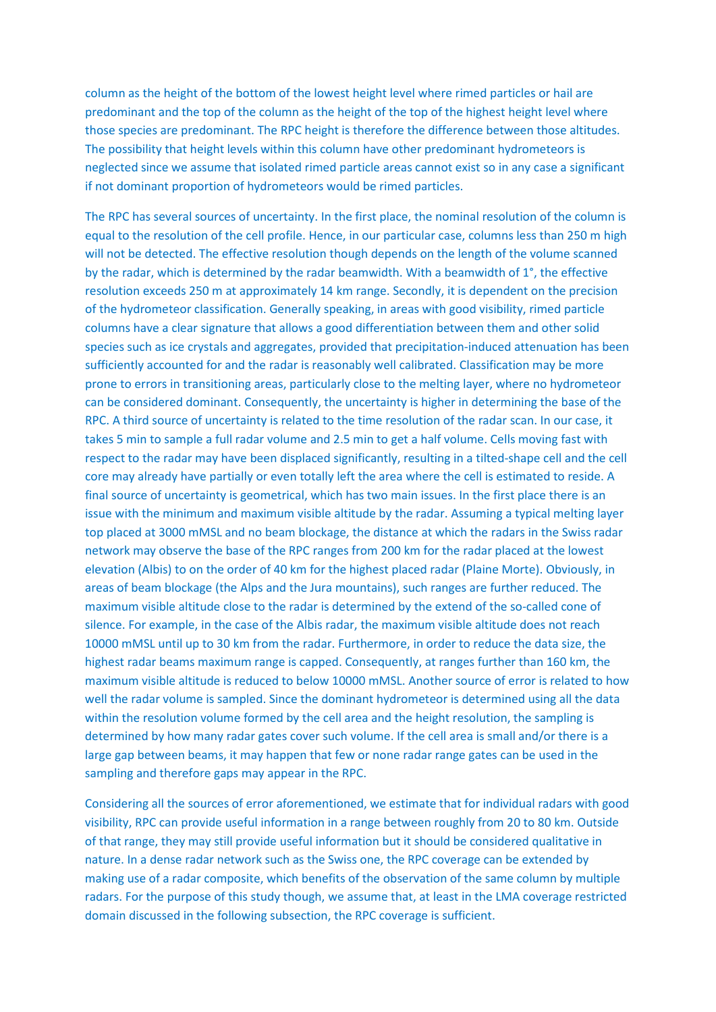column as the height of the bottom of the lowest height level where rimed particles or hail are predominant and the top of the column as the height of the top of the highest height level where those species are predominant. The RPC height is therefore the difference between those altitudes. The possibility that height levels within this column have other predominant hydrometeors is neglected since we assume that isolated rimed particle areas cannot exist so in any case a significant if not dominant proportion of hydrometeors would be rimed particles.

The RPC has several sources of uncertainty. In the first place, the nominal resolution of the column is equal to the resolution of the cell profile. Hence, in our particular case, columns less than 250 m high will not be detected. The effective resolution though depends on the length of the volume scanned by the radar, which is determined by the radar beamwidth. With a beamwidth of 1°, the effective resolution exceeds 250 m at approximately 14 km range. Secondly, it is dependent on the precision of the hydrometeor classification. Generally speaking, in areas with good visibility, rimed particle columns have a clear signature that allows a good differentiation between them and other solid species such as ice crystals and aggregates, provided that precipitation-induced attenuation has been sufficiently accounted for and the radar is reasonably well calibrated. Classification may be more prone to errors in transitioning areas, particularly close to the melting layer, where no hydrometeor can be considered dominant. Consequently, the uncertainty is higher in determining the base of the RPC. A third source of uncertainty is related to the time resolution of the radar scan. In our case, it takes 5 min to sample a full radar volume and 2.5 min to get a half volume. Cells moving fast with respect to the radar may have been displaced significantly, resulting in a tilted-shape cell and the cell core may already have partially or even totally left the area where the cell is estimated to reside. A final source of uncertainty is geometrical, which has two main issues. In the first place there is an issue with the minimum and maximum visible altitude by the radar. Assuming a typical melting layer top placed at 3000 mMSL and no beam blockage, the distance at which the radars in the Swiss radar network may observe the base of the RPC ranges from 200 km for the radar placed at the lowest elevation (Albis) to on the order of 40 km for the highest placed radar (Plaine Morte). Obviously, in areas of beam blockage (the Alps and the Jura mountains), such ranges are further reduced. The maximum visible altitude close to the radar is determined by the extend of the so-called cone of silence. For example, in the case of the Albis radar, the maximum visible altitude does not reach 10000 mMSL until up to 30 km from the radar. Furthermore, in order to reduce the data size, the highest radar beams maximum range is capped. Consequently, at ranges further than 160 km, the maximum visible altitude is reduced to below 10000 mMSL. Another source of error is related to how well the radar volume is sampled. Since the dominant hydrometeor is determined using all the data within the resolution volume formed by the cell area and the height resolution, the sampling is determined by how many radar gates cover such volume. If the cell area is small and/or there is a large gap between beams, it may happen that few or none radar range gates can be used in the sampling and therefore gaps may appear in the RPC.

Considering all the sources of error aforementioned, we estimate that for individual radars with good visibility, RPC can provide useful information in a range between roughly from 20 to 80 km. Outside of that range, they may still provide useful information but it should be considered qualitative in nature. In a dense radar network such as the Swiss one, the RPC coverage can be extended by making use of a radar composite, which benefits of the observation of the same column by multiple radars. For the purpose of this study though, we assume that, at least in the LMA coverage restricted domain discussed in the following subsection, the RPC coverage is sufficient.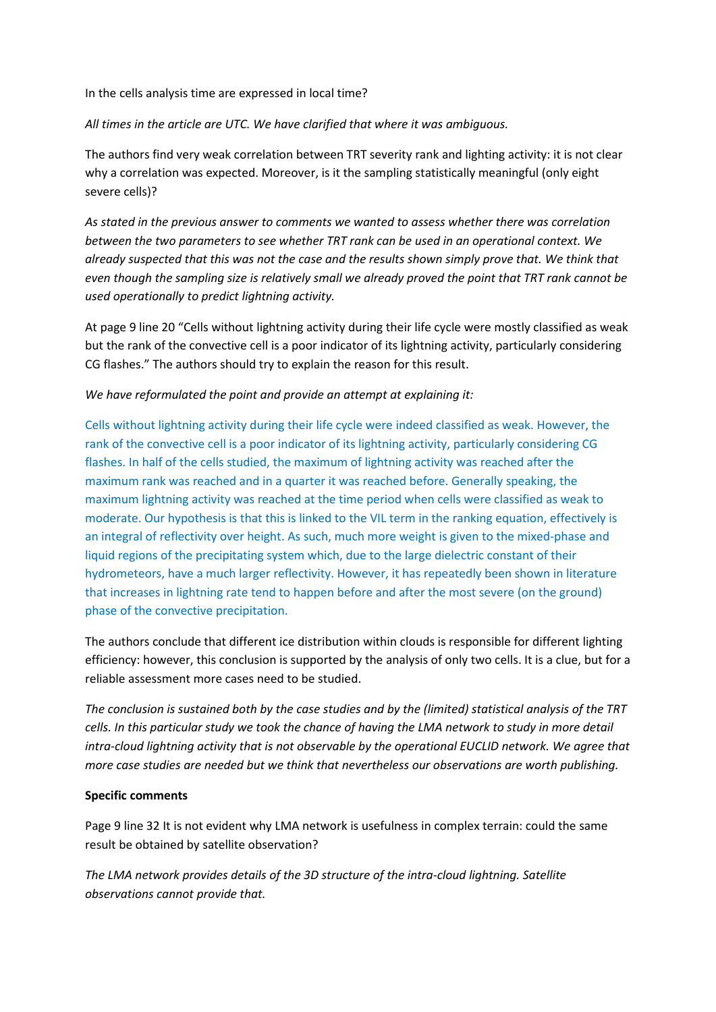In the cells analysis time are expressed in local time?

*All times in the article are UTC. We have clarified that where it was ambiguous.*

The authors find very weak correlation between TRT severity rank and lighting activity: it is not clear why a correlation was expected. Moreover, is it the sampling statistically meaningful (only eight severe cells)?

*As stated in the previous answer to comments we wanted to assess whether there was correlation between the two parameters to see whether TRT rank can be used in an operational context. We already suspected that this was not the case and the results shown simply prove that. We think that even though the sampling size is relatively small we already proved the point that TRT rank cannot be used operationally to predict lightning activity.*

At page 9 line 20 "Cells without lightning activity during their life cycle were mostly classified as weak but the rank of the convective cell is a poor indicator of its lightning activity, particularly considering CG flashes." The authors should try to explain the reason for this result.

#### *We have reformulated the point and provide an attempt at explaining it:*

Cells without lightning activity during their life cycle were indeed classified as weak. However, the rank of the convective cell is a poor indicator of its lightning activity, particularly considering CG flashes. In half of the cells studied, the maximum of lightning activity was reached after the maximum rank was reached and in a quarter it was reached before. Generally speaking, the maximum lightning activity was reached at the time period when cells were classified as weak to moderate. Our hypothesis is that this is linked to the VIL term in the ranking equation, effectively is an integral of reflectivity over height. As such, much more weight is given to the mixed-phase and liquid regions of the precipitating system which, due to the large dielectric constant of their hydrometeors, have a much larger reflectivity. However, it has repeatedly been shown in literature that increases in lightning rate tend to happen before and after the most severe (on the ground) phase of the convective precipitation.

The authors conclude that different ice distribution within clouds is responsible for different lighting efficiency: however, this conclusion is supported by the analysis of only two cells. It is a clue, but for a reliable assessment more cases need to be studied.

*The conclusion is sustained both by the case studies and by the (limited) statistical analysis of the TRT cells. In this particular study we took the chance of having the LMA network to study in more detail intra-cloud lightning activity that is not observable by the operational EUCLID network. We agree that more case studies are needed but we think that nevertheless our observations are worth publishing.*

#### **Specific comments**

Page 9 line 32 It is not evident why LMA network is usefulness in complex terrain: could the same result be obtained by satellite observation?

*The LMA network provides details of the 3D structure of the intra-cloud lightning. Satellite observations cannot provide that.*